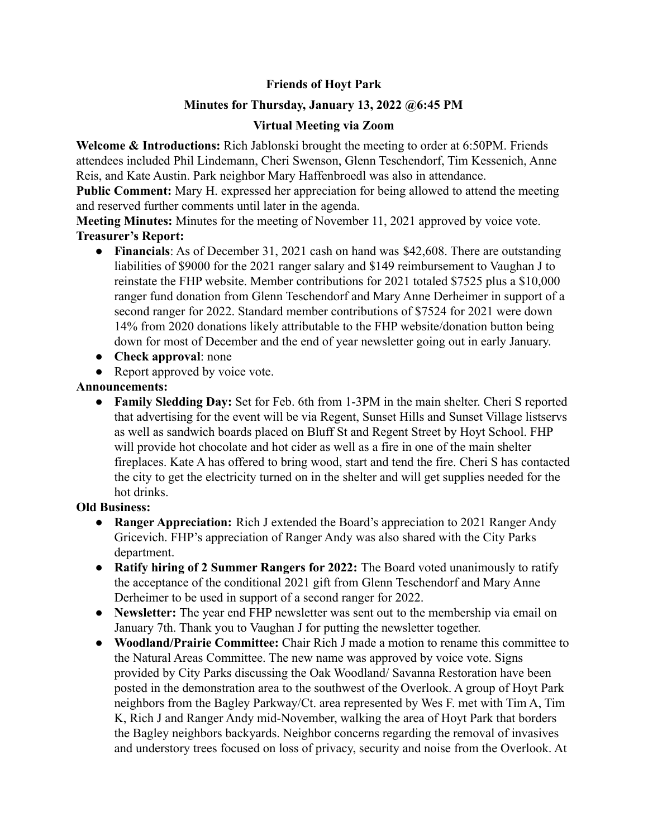# **Friends of Hoyt Park**

## **Minutes for Thursday, January 13, 2022 @6:45 PM**

### **Virtual Meeting via Zoom**

**Welcome & Introductions:** Rich Jablonski brought the meeting to order at 6:50PM. Friends attendees included Phil Lindemann, Cheri Swenson, Glenn Teschendorf, Tim Kessenich, Anne Reis, and Kate Austin. Park neighbor Mary Haffenbroedl was also in attendance.

**Public Comment:** Mary H. expressed her appreciation for being allowed to attend the meeting and reserved further comments until later in the agenda.

**Meeting Minutes:** Minutes for the meeting of November 11, 2021 approved by voice vote. **Treasurer's Report:**

- **Financials**: As of December 31, 2021 cash on hand was \$42,608. There are outstanding liabilities of \$9000 for the 2021 ranger salary and \$149 reimbursement to Vaughan J to reinstate the FHP website. Member contributions for 2021 totaled \$7525 plus a \$10,000 ranger fund donation from Glenn Teschendorf and Mary Anne Derheimer in support of a second ranger for 2022. Standard member contributions of \$7524 for 2021 were down 14% from 2020 donations likely attributable to the FHP website/donation button being down for most of December and the end of year newsletter going out in early January.
- **Check approval**: none
- Report approved by voice vote.

### **Announcements:**

**● Family Sledding Day:** Set for Feb. 6th from 1-3PM in the main shelter. Cheri S reported that advertising for the event will be via Regent, Sunset Hills and Sunset Village listservs as well as sandwich boards placed on Bluff St and Regent Street by Hoyt School. FHP will provide hot chocolate and hot cider as well as a fire in one of the main shelter fireplaces. Kate A has offered to bring wood, start and tend the fire. Cheri S has contacted the city to get the electricity turned on in the shelter and will get supplies needed for the hot drinks.

### **Old Business:**

- **● Ranger Appreciation:** Rich J extended the Board's appreciation to 2021 Ranger Andy Gricevich. FHP's appreciation of Ranger Andy was also shared with the City Parks department.
- **● Ratify hiring of 2 Summer Rangers for 2022:** The Board voted unanimously to ratify the acceptance of the conditional 2021 gift from Glenn Teschendorf and Mary Anne Derheimer to be used in support of a second ranger for 2022.
- **● Newsletter:** The year end FHP newsletter was sent out to the membership via email on January 7th. Thank you to Vaughan J for putting the newsletter together.
- **● Woodland/Prairie Committee:** Chair Rich J made a motion to rename this committee to the Natural Areas Committee. The new name was approved by voice vote. Signs provided by City Parks discussing the Oak Woodland/ Savanna Restoration have been posted in the demonstration area to the southwest of the Overlook. A group of Hoyt Park neighbors from the Bagley Parkway/Ct. area represented by Wes F. met with Tim A, Tim K, Rich J and Ranger Andy mid-November, walking the area of Hoyt Park that borders the Bagley neighbors backyards. Neighbor concerns regarding the removal of invasives and understory trees focused on loss of privacy, security and noise from the Overlook. At